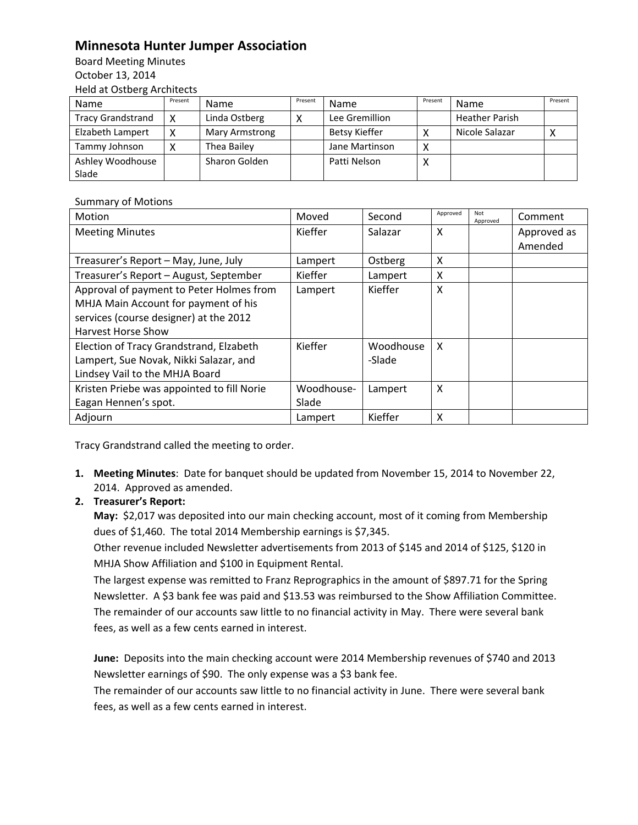## **Minnesota Hunter Jumper Association**

Board Meeting Minutes October 13, 2014 Held at Ostberg Architects

| Name                     | Present | <b>Name</b>    | Present | <b>Name</b>          | Present | Name                  | Present |
|--------------------------|---------|----------------|---------|----------------------|---------|-----------------------|---------|
| <b>Tracy Grandstrand</b> |         | Linda Ostberg  |         | Lee Gremillion       |         | <b>Heather Parish</b> |         |
| Elzabeth Lampert         |         | Mary Armstrong |         | <b>Betsy Kieffer</b> |         | Nicole Salazar        |         |
| Tammy Johnson            |         | Thea Bailey    |         | Jane Martinson       |         |                       |         |
| Ashley Woodhouse         |         | Sharon Golden  |         | Patti Nelson         |         |                       |         |
| Slade                    |         |                |         |                      |         |                       |         |

## Summary of Motions

| Motion                                     | Moved      | Second    | Approved | Not<br>Approved | Comment     |
|--------------------------------------------|------------|-----------|----------|-----------------|-------------|
| <b>Meeting Minutes</b>                     | Kieffer    | Salazar   | X        |                 | Approved as |
|                                            |            |           |          |                 | Amended     |
| Treasurer's Report - May, June, July       | Lampert    | Ostberg   | X        |                 |             |
| Treasurer's Report - August, September     | Kieffer    | Lampert   | X        |                 |             |
| Approval of payment to Peter Holmes from   | Lampert    | Kieffer   | X        |                 |             |
| MHJA Main Account for payment of his       |            |           |          |                 |             |
| services (course designer) at the 2012     |            |           |          |                 |             |
| <b>Harvest Horse Show</b>                  |            |           |          |                 |             |
| Election of Tracy Grandstrand, Elzabeth    | Kieffer    | Woodhouse | X        |                 |             |
| Lampert, Sue Novak, Nikki Salazar, and     |            | -Slade    |          |                 |             |
| Lindsey Vail to the MHJA Board             |            |           |          |                 |             |
| Kristen Priebe was appointed to fill Norie | Woodhouse- | Lampert   | X        |                 |             |
| Eagan Hennen's spot.                       | Slade      |           |          |                 |             |
| Adjourn                                    | Lampert    | Kieffer   | X        |                 |             |

Tracy Grandstrand called the meeting to order.

**1. Meeting Minutes**: Date for banquet should be updated from November 15, 2014 to November 22, 2014. Approved as amended.

## **2. Treasurer's Report:**

**May:** \$2,017 was deposited into our main checking account, most of it coming from Membership dues of \$1,460. The total 2014 Membership earnings is \$7,345.

Other revenue included Newsletter advertisements from 2013 of \$145 and 2014 of \$125, \$120 in MHJA Show Affiliation and \$100 in Equipment Rental.

The largest expense was remitted to Franz Reprographics in the amount of \$897.71 for the Spring Newsletter. A \$3 bank fee was paid and \$13.53 was reimbursed to the Show Affiliation Committee. The remainder of our accounts saw little to no financial activity in May. There were several bank fees, as well as a few cents earned in interest.

June: Deposits into the main checking account were 2014 Membership revenues of \$740 and 2013 Newsletter earnings of \$90. The only expense was a \$3 bank fee.

The remainder of our accounts saw little to no financial activity in June. There were several bank fees, as well as a few cents earned in interest.